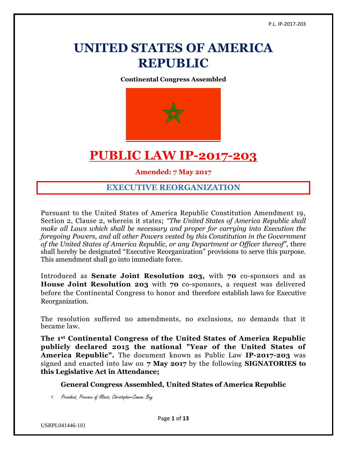# **UNITED STATES OF AMERICA REPUBLIC**

**Continental Congress Assembled**



# **PUBLIC LAW IP-2017-203**

**Amended: 7 May 2017**

## **EXECUTIVE REORGANIZATION**

Pursuant to the United States of America Republic Constitution Amendment 19, Section 2, Clause 2, wherein it states; *"The United States of America Republic shall make all Laws which shall be necessary and proper for carrying into Execution the foregoing Powers, and all other Powers vested by this Constitution in the Government of the United States of America Republic, or any Department or Officer thereof",* there shall hereby be designated "Executive Reorganization" provisions to serve this purpose. This amendment shall go into immediate force.

Introduced as **Senate Joint Resolution 203,** with **70** co-sponsors and as **House Joint Resolution 203** with **70** co-sponsors, a request was delivered before the Continental Congress to honor and therefore establish laws for Executive Reorganization.

The resolution suffered no amendments, no exclusions, no demands that it became law.

**The 1st Continental Congress of the United States of America Republic publicly declared 2015 the national "Year of the United States of America Republic".** The document known as Public Law **IP-2017-203** was signed and enacted into law on **7 May 2017** by the following **SIGNATORIES to this Legislative Act in Attendance;**

**General Congress Assembled, United States of America Republic**

1. President, Province of Illinois, Christopher-Cannon: Bey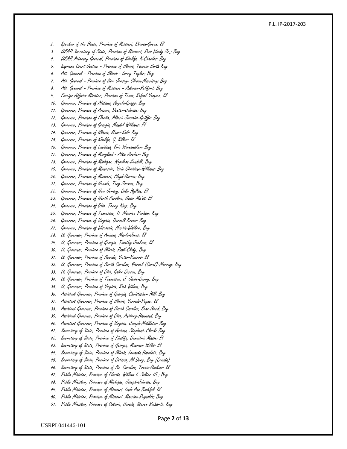#### P.L. IP -2017 -203

- 2. Speaker of the House, Province of Missouri, Sharon-Green: El
- 3. USAR Secretary of State, Province of Missouri, Ross Woody Jr,: Bey
- 4. USAR Attorney General, Province of Khalifa, K-Charles: Bey
- 5. Supreme Court Justice Province of Illinois, Taiwuan Smith Bey
- 6. Att. General Province of Illinois Larry Taylor: Bey
- 7. Att. General Province of New Jersey- Clevon-Morrisey: Bey
- 8. Att. General Province of Missouri Antwaen-Reliford: Bey
- 9. Foreign Affairs Minister, Province of Texas, Rafael-Vazquez: El
- 10. Governor, Province of Alabama, Angela -Gragg: Bey
- 11. Governor, Province of Arizona, Dexter-Johnson: Bey
- 12. Governor, Province of Florida, Albert Jerraine -Griffin: Bey
- 13. Governor, Province of Georgia, Mandel Williams: El
- 14. Governor, Province of Illinois, Mauri-Kali: Bey
- 15. Governor, Province of Khalifa, G. Riller: El
- 16. Governor, Province of Louisiana, Eric Wannamaker: Bey
- 17. Governor, Province of Maryland Altie Archer: Bey
- 18. Governor, Province of Michigan, Napoleon -Kendall: Bey
- 19. Governor, Province of Minnesota, Vicie Christine -Williams: Bey
- 20. Governor, Province of Missouri, Floyd-Harris: Bey
- 21. Governor, Province of Nevada, Tony-Jarman: Bey
- 22. Governor, Province of New Jersey, Colin Hylton: El
- 23. Governor, Province of North Carolina, Nasir Ma'at: El
- 24. Governor, Province of Ohio, Terry King: Bey
- 25. Governor, Province of Tennessee, D. Maurice Parham: Bey
- 26. Governor, Province of Virginia, Darnell Brown: Bey
- 27. Governor, Province of Wisconsin, Martin -Walker: Bey
- 28. Lt. Governor, Province of Arizona, Marlo -Jones: El
- 29. Lt. Governor, Province of Georgia, Timothy Jackson: El
- 30. Lt. Governor, Province of Illinois, Rasil-Clady: Bey
- 31. Lt. Governor, Province of Nevada, Victor-Pizarro: El
- 32. Lt. Governor, Province of North Carolina, Yisrael (Carol) -Murray: Bey
- 33. Lt. Governor, Province of Ohio, Galen Carson: Bey
- 34. Lt. Governor, Province of Tennessee, J. Javon -Curry: Bey
- 35. Lt. Governor, Province of Virginia, Rich Wilson: Bey
- 36. Assistant Governor, Province of Georgia, Christopher Hill: Bey
- 37. Assistant Governor, Province of Illinois, Varnado -Payne: El
- 38. Assistant Governor, Province of North Carolina, Sean -Ikard: Bey
- 39. Assistant Governor, Province of Ohio, Anthony-Hammond: Bey
- 40. Assistant Governor, Province of Virginia, Joseph-Middleton: Bey
- 41. Secretary of State, Province of Arizona, Stephanie -Clark: Bey
- 42. Secretary of State, Province of Khalifa, Demeitric Mason: El
- 43. Secretary of State, Province of Georgia, Maureen Willis: El
- 44. Secretary of State, Province of Illinois, Lewanda Hazelett: Bey
- 45. Secretary of State, Province of Ontario, Al Drey: Bey (Canada)
- 46. Secretary of State, Province of No. Carolina, Trevis-Haskins: El
- 47. Public Minister, Province of Florida, William L. -Salter III,: Bey
- 48. Public Minister, Province of Michigan, Joseph -Johnson: Bey
- 49. Public Minister, Province of Missouri, Linda Ann -Bashful: El
- 50. Public Minister, Province of Missouri, Maurice -Reynolds: Bey
- 51. Public Minister, Province of Ontario, Canada, Steven Richards: Bey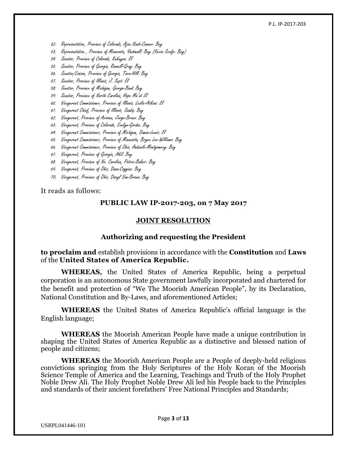#### P.L. IP-2017-203

- 52. Representative, Province of Colorado, Ajoa Nash-Conner: Bey
- 53. Representative , Province of Minnesota, Yashmall: Bey (Kevin Scaife: Bey)
- 54. Senator, Province of Colorado, Kakuyon: El
- 55. Senator, Province of Georgia, Ronnell-Gray: Bey
- 56. Senator/Liaison, Province of Georgia, Tara-Hill: Bey
- 57. Senator, Province of Illinois, J. Sept: El
- 58. Senator, Province of Michigan, George-Bond: Bey
- 59. Senator, Province of North Carolina, Hope Ma'at El
- 60. Vicegerent Commissioner, Province of Illinois, Leslie-Atkins: El
- 61. Vicegerent Chief, Province of Illinois, Saadiq: Bey
- 62. Vicegerent, Province of Arizona, Jorge-Bravo: Bey
- 63. Vicegerent, Province of Colorado, Evelyn-Gordon: Bey
- 64. Vicegerent Commissioner, Province of Michigan, Damon-Lewis: El
- 65. Vicegerent Commissioner, Province of Minnesota, Bryce Lee-Williams: Bey
- 66. Vicegerent Commissioner, Province of Ohio, Andwele-Montgomery: Bey
- 67. Vicegerent, Province of Georgia, Akil: Bey
- 68. Vicegerent, Province of No. Carolina, Patric-Baker: Bey
- 69. Vicegerent, Province of Ohio, Dana-Coggins: Bey
- 70. Vicegerent, Province of Ohio, Daryl Van-Brown: Bey

It reads as follows:

#### **PUBLIC LAW IP-2017-203, on 7 May 2017**

#### **JOINT RESOLUTION**

#### **Authorizing and requesting the President**

**to proclaim and** establish provisions in accordance with the **Constitution** and **Laws** of the **United States of America Republic.**

**WHEREAS,** the United States of America Republic, being a perpetual corporation is an autonomous State government lawfully incorporated and chartered for the benefit and protection of "We The Moorish American People", by its Declaration, National Constitution and By-Laws, and aforementioned Articles;

**WHEREAS** the United States of America Republic's official language is the English language;

**WHEREAS** the Moorish American People have made a unique contribution in shaping the United States of America Republic as a distinctive and blessed nation of people and citizens;

**WHEREAS** the Moorish American People are a People of deeply-held religious convictions springing from the Holy Scriptures of the Holy Koran of the Moorish Science Temple of America and the Learning, Teachings and Truth of the Holy Prophet Noble Drew Ali. The Holy Prophet Noble Drew Ali led his People back to the Principles and standards of their ancient forefathers' Free National Principles and Standards;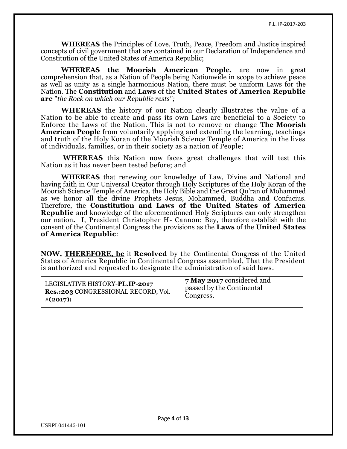**WHEREAS** the Principles of Love, Truth, Peace, Freedom and Justice inspired concepts of civil government that are contained in our Declaration of Independence and Constitution of the United States of America Republic;

**WHEREAS the Moorish American People,** are now in great comprehension that, as a Nation of People being Nationwide in scope to achieve peace as well as unity as a single harmonious Nation, there must be uniform Laws for the Nation. The **Constitution** and **Laws** of the **United States of America Republic are** "*the Rock on which our Republic rests";*

**WHEREAS** the history of our Nation clearly illustrates the value of a Nation to be able to create and pass its own Laws are beneficial to a Society to Enforce the Laws of the Nation. This is not to remove or change **The Moorish American People** from voluntarily applying and extending the learning, teachings and truth of the Holy Koran of the Moorish Science Temple of America in the lives of individuals, families, or in their society as a nation of People;

**WHEREAS** this Nation now faces great challenges that will test this Nation as it has never been tested before; and

**WHEREAS** that renewing our knowledge of Law, Divine and National and having faith in Our Universal Creator through Holy Scriptures of the Holy Koran of the Moorish Science Temple of America, the Holy Bible and the Great Qu'ran of Mohammed as we honor all the divine Prophets Jesus, Mohammed, Buddha and Confucius. Therefore, the **Constitution and Laws of the United States of America Republic** and knowledge of the aforementioned Holy Scriptures can only strengthen our nation**.** I, President Christopher H- Cannon: Bey, therefore establish with the consent of the Continental Congress the provisions as the **Laws** of the **United States of America Republic**:

**NOW, [THEREFORE, be](http://therefore.be/)** it **Resolved** by the Continental Congress of the United States of America Republic in Continental Congress assembled, That the President is authorized and requested to designate the administration of said laws.

| LEGISLATIVE HISTORY-PL.IP-2017      | 7 May 2017 considered and |
|-------------------------------------|---------------------------|
| Res.:203 CONGRESSIONAL RECORD, Vol. | passed by the Continental |
| $\#(2017)$ :                        | Congress.                 |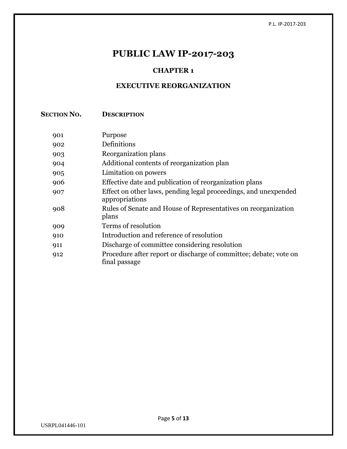## **PUBLIC LAW IP-2017-203**

### **CHAPTER 1**

### **EXECUTIVE REORGANIZATION**

**SECTION NO. DESCRIPTION**

| 901 | Purpose                                                                            |
|-----|------------------------------------------------------------------------------------|
| 902 | Definitions                                                                        |
| 903 | Reorganization plans                                                               |
| 904 | Additional contents of reorganization plan                                         |
| 905 | Limitation on powers                                                               |
| 906 | Effective date and publication of reorganization plans                             |
| 907 | Effect on other laws, pending legal proceedings, and unexpended<br>appropriations  |
| 908 | Rules of Senate and House of Representatives on reorganization<br>plans            |
| 909 | Terms of resolution                                                                |
| 910 | Introduction and reference of resolution                                           |
| 911 | Discharge of committee considering resolution                                      |
| 912 | Procedure after report or discharge of committee; debate; vote on<br>final passage |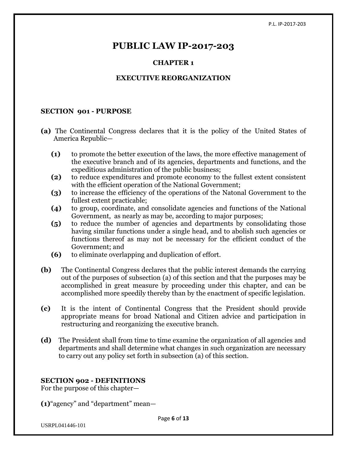## **PUBLIC LAW IP-2017-203**

### **CHAPTER 1**

### **EXECUTIVE REORGANIZATION**

#### **SECTION 901 - PURPOSE**

- **(a)** The Continental Congress declares that it is the policy of the United States of America Republic—
	- **(1)** to promote the better execution of the laws, the more effective management of the executive branch and of its agencies, departments and functions, and the expeditious administration of the public business;
	- **(2)** to reduce expenditures and promote economy to the fullest extent consistent with the efficient operation of the National Government;
	- **(3)** to increase the efficiency of the operations of the Natonal Government to the fullest extent practicable;
	- **(4)** to group, coordinate, and consolidate agencies and functions of the National Government, as nearly as may be, according to major purposes;
	- **(5)** to reduce the number of agencies and departments by consolidating those having similar functions under a single head, and to abolish such agencies or functions thereof as may not be necessary for the efficient conduct of the Government; and
	- **(6)** to eliminate overlapping and duplication of effort.
- **(b)** The Continental Congress declares that the public interest demands the carrying out of the purposes of subsection (a) of this section and that the purposes may be accomplished in great measure by proceeding under this chapter, and can be accomplished more speedily thereby than by the enactment of specific legislation.
- **(c)** It is the intent of Continental Congress that the President should provide appropriate means for broad National and Citizen advice and participation in restructuring and reorganizing the executive branch.
- **(d)** The President shall from time to time examine the organization of all agencies and departments and shall determine what changes in such organization are necessary to carry out any policy set forth in subsection (a) of this section.

#### **SECTION 902 - DEFINITIONS**

For the purpose of this chapter—

**(1)**"agency" and "department" mean—

USRPL041446-101

Page **6** of **13**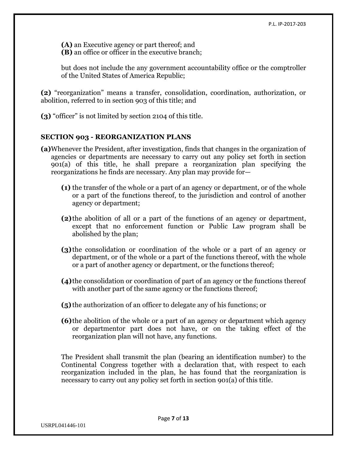**(A)** an Executive agency or part thereof; and **(B)** an office or officer in the executive branch;

but does not include the any government accountability office or the comptroller of the United States of America Republic;

**(2)** "reorganization" means a transfer, consolidation, coordination, authorization, or abolition, referred to in [section 903 of this title;](https://www.law.cornell.edu/uscode/text/5/903) and

**(3)** "officer" is not limited by [section 2104 of this title.](https://www.law.cornell.edu/uscode/text/5/2104)

#### **SECTION 903 - REORGANIZATION PLANS**

- **(a)**Whenever the President, after investigation, finds that changes in the organization of agencies or departments are necessary to carry out any policy set forth in [section](https://www.law.cornell.edu/uscode/text/5/lii:usc:t:5:s:901:a)  [901\(a\) of this title,](https://www.law.cornell.edu/uscode/text/5/lii:usc:t:5:s:901:a) he shall prepare a reorganization plan specifying the reorganizations he finds are necessary. Any plan may provide for—
	- **(1)** the transfer of the whole or a part of an agency or department, or of the whole or a part of the functions thereof, to the jurisdiction and control of another agency or department;
	- **(2)**the abolition of all or a part of the functions of an agency or department, except that no enforcement function or Public Law program shall be abolished by the plan;
	- **(3)** the consolidation or coordination of the whole or a part of an agency or department, or of the whole or a part of the functions thereof, with the whole or a part of another agency or department, or the functions thereof;
	- **(4)**the consolidation or coordination of part of an agency or the functions thereof with another part of the same agency or the functions thereof;
	- **(5)** the authorization of an officer to delegate any of his functions; or
	- **(6)**the abolition of the whole or a part of an agency or department which agency or departmentor part does not have, or on the taking effect of the reorganization plan will not have, any functions.

The President shall transmit the plan (bearing an identification number) to the Continental Congress together with a declaration that, with respect to each reorganization included in the plan, he has found that the reorganization is necessary to carry out any policy set forth in [section 901\(a\) of this title.](https://www.law.cornell.edu/uscode/text/5/lii:usc:t:5:s:901:a)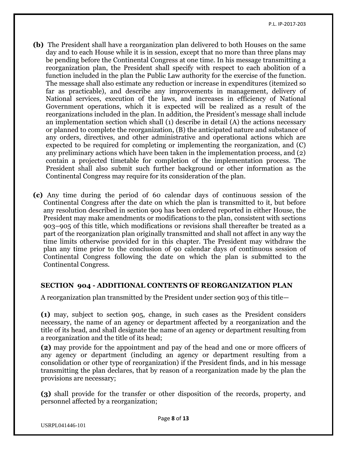- **(b)** The President shall have a reorganization plan delivered to both Houses on the same day and to each House while it is in session, except that no more than three plans may be pending before the Continental Congress at one time. In his message transmitting a reorganization plan, the President shall specify with respect to each abolition of a function included in the plan the Public Law authority for the exercise of the function. The message shall also estimate any reduction or increase in expenditures (itemized so far as practicable), and describe any improvements in management, delivery of National services, execution of the laws, and increases in efficiency of National Government operations, which it is expected will be realized as a result of the reorganizations included in the plan. In addition, the President's message shall include an implementation section which shall (1) describe in detail (A) the actions necessary or planned to complete the reorganization, (B) the anticipated nature and substance of any orders, directives, and other administrative and operational actions which are expected to be required for completing or implementing the reorganization, and (C) any preliminary actions which have been taken in the implementation process, and (2) contain a projected timetable for completion of the implementation process. The President shall also submit such further background or other information as the Continental Congress may require for its consideration of the plan.
- **(c)** Any time during the period of 60 calendar days of continuous session of the Continental Congress after the date on which the plan is transmitted to it, but before any resolution described in section 909 has been ordered reported in either House, the President may make amendments or modifications to the plan, consistent with sections 903–905 of this title, which modifications or revisions shall thereafter be treated as a part of the reorganization plan originally transmitted and shall not affect in any way the time limits otherwise provided for in this chapter. The President may withdraw the plan any time prior to the conclusion of 90 calendar days of continuous session of Continental Congress following the date on which the plan is submitted to the Continental Congress.

#### **SECTION 904 - ADDITIONAL CONTENTS OF REORGANIZATION PLAN**

A reorganization plan transmitted by the President under [section 903 of this title](https://www.law.cornell.edu/uscode/text/5/903)—

**(1)** may, subject to section 905, change, in such cases as the President considers necessary, the name of an agency or department affected by a reorganization and the title of its head, and shall designate the name of an agency or department resulting from a reorganization and the title of its head;

**(2)** may provide for the appointment and pay of the head and one or more officers of any agency or department (including an agency or department resulting from a consolidation or other type of reorganization) if the President finds, and in his message transmitting the plan declares, that by reason of a reorganization made by the plan the provisions are necessary;

**(3)** shall provide for the transfer or other disposition of the records, property, and personnel affected by a reorganization;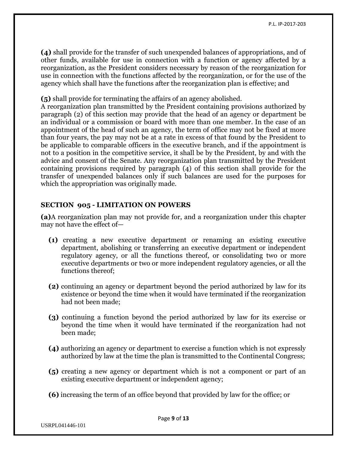**(4)** shall provide for the transfer of such unexpended balances of appropriations, and of other funds, available for use in connection with a function or agency affected by a reorganization, as the President considers necessary by reason of the reorganization for use in connection with the functions affected by the reorganization, or for the use of the agency which shall have the functions after the reorganization plan is effective; and

**(5)** shall provide for terminating the affairs of an agency abolished.

A reorganization plan transmitted by the President containing provisions authorized by paragraph (2) of this section may provide that the head of an agency or department be an individual or a commission or board with more than one member. In the case of an appointment of the head of such an agency, the term of office may not be fixed at more than four years, the pay may not be at a rate in excess of that found by the President to be applicable to comparable officers in the executive branch, and if the appointment is not to a position in the competitive service, it shall be by the President, by and with the advice and consent of the Senate. Any reorganization plan transmitted by the President containing provisions required by paragraph (4) of this section shall provide for the transfer of unexpended balances only if such balances are used for the purposes for which the appropriation was originally made.

#### **SECTION 905 - LIMITATION ON POWERS**

**(a)**A reorganization plan may not provide for, and a reorganization under this chapter may not have the effect of—

- **(1)** creating a new executive department or renaming an existing executive department, abolishing or transferring an executive department or independent regulatory agency, or all the functions thereof, or consolidating two or more executive departments or two or more independent regulatory agencies, or all the functions thereof;
- **(2)** continuing an agency or department beyond the period authorized by law for its existence or beyond the time when it would have terminated if the reorganization had not been made;
- **(3)** continuing a function beyond the period authorized by law for its exercise or beyond the time when it would have terminated if the reorganization had not been made;
- **(4)** authorizing an agency or department to exercise a function which is not expressly authorized by law at the time the plan is transmitted to the Continental Congress;
- **(5)** creating a new agency or department which is not a component or part of an existing executive department or independent agency;
- **(6)** increasing the term of an office beyond that provided by law for the office; or

USRPL041446-101

Page **9** of **13**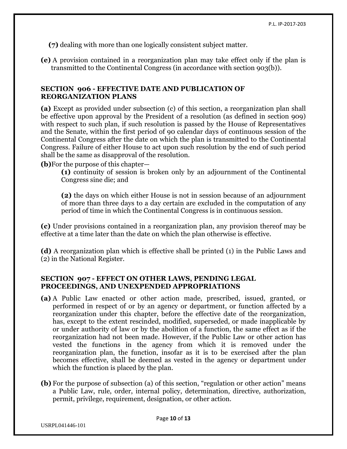**(7)** dealing with more than one logically consistent subject matter.

**(e)** A provision contained in a reorganization plan may take effect only if the plan is transmitted to the Continental Congress (in accordance with section 903(b)).

#### **SECTION 906 - EFFECTIVE DATE AND PUBLICATION OF REORGANIZATION PLANS**

**(a)** Except as provided under subsection (c) of this section, a reorganization plan shall be effective upon approval by the President of a resolution (as defined in section 909) with respect to such plan, if such resolution is passed by the House of Representatives and the Senate, within the first period of 90 calendar days of continuous session of the Continental Congress after the date on which the plan is transmitted to the Continental Congress. Failure of either House to act upon such resolution by the end of such period shall be the same as disapproval of the resolution.

**(b)**For the purpose of this chapter—

**(1)** continuity of session is broken only by an adjournment of the Continental Congress sine die; and

**(2)** the days on which either House is not in session because of an adjournment of more than three days to a day certain are excluded in the computation of any period of time in which the Continental Congress is in continuous session.

**(c)** Under provisions contained in a reorganization plan, any provision thereof may be effective at a time later than the date on which the plan otherwise is effective.

**(d)** A reorganization plan which is effective shall be printed (1) in the Public Laws and (2) in the National Register.

#### **SECTION 907 - EFFECT ON OTHER LAWS, PENDING LEGAL PROCEEDINGS, AND UNEXPENDED APPROPRIATIONS**

- **(a)** A Public Law enacted or other action made, prescribed, issued, granted, or performed in respect of or by an agency or department, or function affected by a reorganization under this chapter, before the effective date of the reorganization, has, except to the extent rescinded, modified, superseded, or made inapplicable by or under authority of law or by the abolition of a function, the same effect as if the reorganization had not been made. However, if the Public Law or other action has vested the functions in the agency from which it is removed under the reorganization plan, the function, insofar as it is to be exercised after the plan becomes effective, shall be deemed as vested in the agency or department under which the function is placed by the plan.
- **(b)** For the purpose of subsection (a) of this section, "regulation or other action" means a Public Law, rule, order, internal policy, determination, directive, authorization, permit, privilege, requirement, designation, or other action.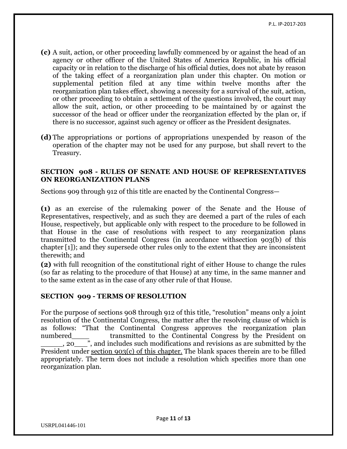- **(c)** A suit, action, or other proceeding lawfully commenced by or against the head of an agency or other officer of the United States of America Republic, in his official capacity or in relation to the discharge of his official duties, does not abate by reason of the taking effect of a reorganization plan under this chapter. On motion or supplemental petition filed at any time within twelve months after the reorganization plan takes effect, showing a necessity for a survival of the suit, action, or other proceeding to obtain a settlement of the questions involved, the court may allow the suit, action, or other proceeding to be maintained by or against the successor of the head or officer under the reorganization effected by the plan or, if there is no successor, against such agency or officer as the President designates.
- **(d)** The appropriations or portions of appropriations unexpended by reason of the operation of the chapter may not be used for any purpose, but shall revert to the Treasury.

#### **SECTION 908 - RULES OF SENATE AND HOUSE OF REPRESENTATIVES ON REORGANIZATION PLANS**

Sections 909 through 912 of this title are enacted by the Continental Congress—

**(1)** as an exercise of the rulemaking power of the Senate and the House of Representatives, respectively, and as such they are deemed a part of the rules of each House, respectively, but applicable only with respect to the procedure to be followed in that House in the case of resolutions with respect to any reorganization plans transmitted to the Continental Congress (in accordance wit[hsection 903\(b\) of this](https://www.law.cornell.edu/uscode/text/5/lii:usc:t:5:s:903:b)  [chapter](https://www.law.cornell.edu/uscode/text/5/lii:usc:t:5:s:903:b) [\[1\]\)](https://www.law.cornell.edu/uscode/text/5/908#fn002021); and they supersede other rules only to the extent that they are inconsistent therewith; and

**(2)** with full recognition of the constitutional right of either House to change the rules (so far as relating to the procedure of that House) at any time, in the same manner and to the same extent as in the case of any other rule of that House.

#### **SECTION 909 - TERMS OF RESOLUTION**

For the purpose of sections 908 through 912 of this title, "resolution" means only a joint resolution of the Continental Congress, the matter after the resolving clause of which is as follows: "That the Continental Congress approves the reorganization plan numbered transmitted to the Continental Congress by the President on \_\_\_\_\_, 20\_\_\_", and includes such modifications and revisions as are submitted by the President under [section 903\(c\) of this chapter.](https://www.law.cornell.edu/uscode/text/5/lii:usc:t:5:s:903:c) The blank spaces therein are to be filled appropriately. The term does not include a resolution which specifies more than one reorganization plan.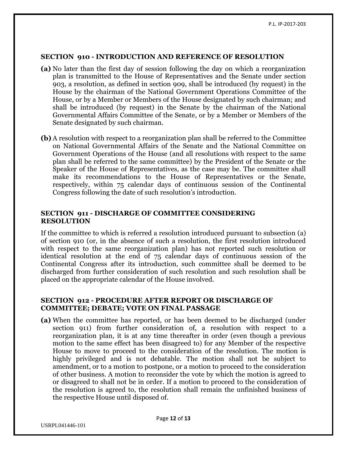#### **SECTION 910 - INTRODUCTION AND REFERENCE OF RESOLUTION**

- **(a)** No later than the first day of session following the day on which a reorganization plan is transmitted to the House of Representatives and the Senate under section 903, a resolution, as defined in section 909, shall be introduced (by request) in the House by the chairman of the National Government Operations Committee of the House, or by a Member or Members of the House designated by such chairman; and shall be introduced (by request) in the Senate by the chairman of the National Governmental Affairs Committee of the Senate, or by a Member or Members of the Senate designated by such chairman.
- **(b)** A resolution with respect to a reorganization plan shall be referred to the Committee on National Governmental Affairs of the Senate and the National Committee on Government Operations of the House (and all resolutions with respect to the same plan shall be referred to the same committee) by the President of the Senate or the Speaker of the House of Representatives, as the case may be. The committee shall make its recommendations to the House of Representatives or the Senate, respectively, within 75 calendar days of continuous session of the Continental Congress following the date of such resolution's introduction.

#### **SECTION 911 - DISCHARGE OF COMMITTEE CONSIDERING RESOLUTION**

If the committee to which is referred a resolution introduced pursuant to subsection (a) of section 910 (or, in the absence of such a resolution, the first resolution introduced with respect to the same reorganization plan) has not reported such resolution or identical resolution at the end of 75 calendar days of continuous session of the Continental Congress after its introduction, such committee shall be deemed to be discharged from further consideration of such resolution and such resolution shall be placed on the appropriate calendar of the House involved.

#### **SECTION 912 - PROCEDURE AFTER REPORT OR DISCHARGE OF COMMITTEE; DEBATE; VOTE ON FINAL PASSAGE**

**(a)** When the committee has reported, or has been deemed to be discharged (under section 911) from further consideration of, a resolution with respect to a reorganization plan, it is at any time thereafter in order (even though a previous motion to the same effect has been disagreed to) for any Member of the respective House to move to proceed to the consideration of the resolution. The motion is highly privileged and is not debatable. The motion shall not be subject to amendment, or to a motion to postpone, or a motion to proceed to the consideration of other business. A motion to reconsider the vote by which the motion is agreed to or disagreed to shall not be in order. If a motion to proceed to the consideration of the resolution is agreed to, the resolution shall remain the unfinished business of the respective House until disposed of.